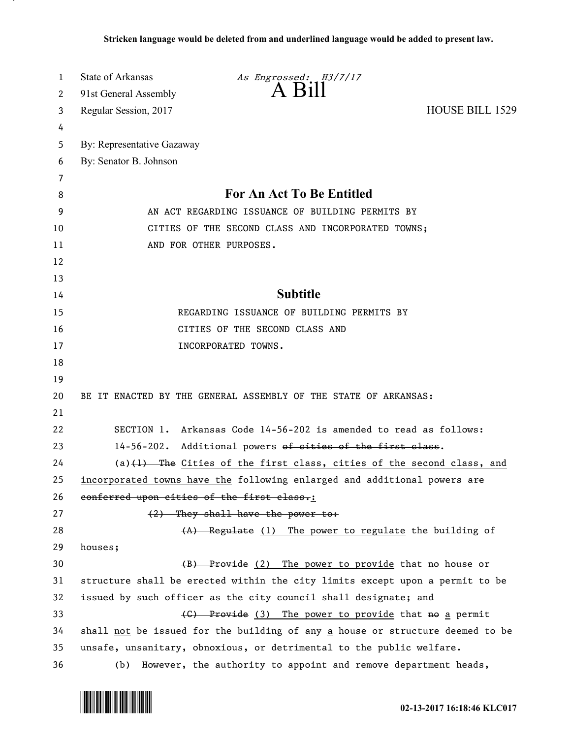| 1  | State of Arkansas                                                    | As Engrossed: H3/7/17                                                                |                        |  |
|----|----------------------------------------------------------------------|--------------------------------------------------------------------------------------|------------------------|--|
| 2  | 91st General Assembly                                                | $A$ $B1II$                                                                           |                        |  |
| 3  | Regular Session, 2017                                                |                                                                                      | <b>HOUSE BILL 1529</b> |  |
| 4  |                                                                      |                                                                                      |                        |  |
| 5  | By: Representative Gazaway                                           |                                                                                      |                        |  |
| 6  | By: Senator B. Johnson                                               |                                                                                      |                        |  |
| 7  |                                                                      |                                                                                      |                        |  |
| 8  | For An Act To Be Entitled                                            |                                                                                      |                        |  |
| 9  | AN ACT REGARDING ISSUANCE OF BUILDING PERMITS BY                     |                                                                                      |                        |  |
| 10 | CITIES OF THE SECOND CLASS AND INCORPORATED TOWNS;                   |                                                                                      |                        |  |
| 11 | AND FOR OTHER PURPOSES.                                              |                                                                                      |                        |  |
| 12 |                                                                      |                                                                                      |                        |  |
| 13 |                                                                      |                                                                                      |                        |  |
| 14 | <b>Subtitle</b>                                                      |                                                                                      |                        |  |
| 15 | REGARDING ISSUANCE OF BUILDING PERMITS BY                            |                                                                                      |                        |  |
| 16 | CITIES OF THE SECOND CLASS AND                                       |                                                                                      |                        |  |
| 17 |                                                                      | INCORPORATED TOWNS.                                                                  |                        |  |
| 18 |                                                                      |                                                                                      |                        |  |
| 19 |                                                                      |                                                                                      |                        |  |
| 20 | BE IT ENACTED BY THE GENERAL ASSEMBLY OF THE STATE OF ARKANSAS:      |                                                                                      |                        |  |
| 21 |                                                                      |                                                                                      |                        |  |
| 22 |                                                                      | SECTION 1. Arkansas Code 14-56-202 is amended to read as follows:                    |                        |  |
| 23 | 14-56-202. Additional powers of cities of the first class.           |                                                                                      |                        |  |
| 24 |                                                                      | $(a)$ $(1)$ The Cities of the first class, cities of the second class, and           |                        |  |
| 25 |                                                                      | incorporated towns have the following enlarged and additional powers are             |                        |  |
| 26 | conferred upon cities of the first class.:                           |                                                                                      |                        |  |
| 27 |                                                                      | (2) They shall have the power to:                                                    |                        |  |
| 28 |                                                                      | (A) Regulate (1) The power to regulate the building of                               |                        |  |
| 29 | houses;                                                              |                                                                                      |                        |  |
| 30 |                                                                      | (B) Provide (2) The power to provide that no house or                                |                        |  |
| 31 |                                                                      | structure shall be erected within the city limits except upon a permit to be         |                        |  |
| 32 |                                                                      | issued by such officer as the city council shall designate; and                      |                        |  |
| 33 |                                                                      | (C) Provide (3) The power to provide that no a permit                                |                        |  |
| 34 |                                                                      | shall <u>not</u> be issued for the building of any a house or structure deemed to be |                        |  |
| 35 | unsafe, unsanitary, obnoxious, or detrimental to the public welfare. |                                                                                      |                        |  |
| 36 | (b)                                                                  | However, the authority to appoint and remove department heads,                       |                        |  |



.